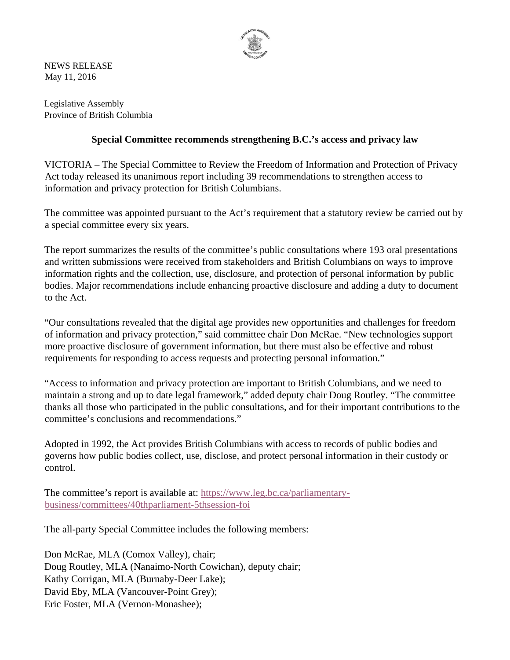

NEWS RELEASE May 11, 2016

Legislative Assembly Province of British Columbia

## **Special Committee recommends strengthening B.C.'s access and privacy law**

VICTORIA – The Special Committee to Review the Freedom of Information and Protection of Privacy Act today released its unanimous report including 39 recommendations to strengthen access to information and privacy protection for British Columbians.

The committee was appointed pursuant to the Act's requirement that a statutory review be carried out by a special committee every six years.

The report summarizes the results of the committee's public consultations where 193 oral presentations and written submissions were received from stakeholders and British Columbians on ways to improve information rights and the collection, use, disclosure, and protection of personal information by public bodies. Major recommendations include enhancing proactive disclosure and adding a duty to document to the Act.

"Our consultations revealed that the digital age provides new opportunities and challenges for freedom of information and privacy protection," said committee chair Don McRae. "New technologies support more proactive disclosure of government information, but there must also be effective and robust requirements for responding to access requests and protecting personal information."

"Access to information and privacy protection are important to British Columbians, and we need to maintain a strong and up to date legal framework," added deputy chair Doug Routley. "The committee thanks all those who participated in the public consultations, and for their important contributions to the committee's conclusions and recommendations."

Adopted in 1992, the Act provides British Columbians with access to records of public bodies and governs how public bodies collect, use, disclose, and protect personal information in their custody or control.

The committee's report is available at: https://www.leg.bc.ca/parliamentarybusiness/committees/40thparliament-5thsession-foi

The all-party Special Committee includes the following members:

Don McRae, MLA (Comox Valley), chair; Doug Routley, MLA (Nanaimo-North Cowichan), deputy chair; Kathy Corrigan, MLA (Burnaby-Deer Lake); David Eby, MLA (Vancouver-Point Grey); Eric Foster, MLA (Vernon-Monashee);